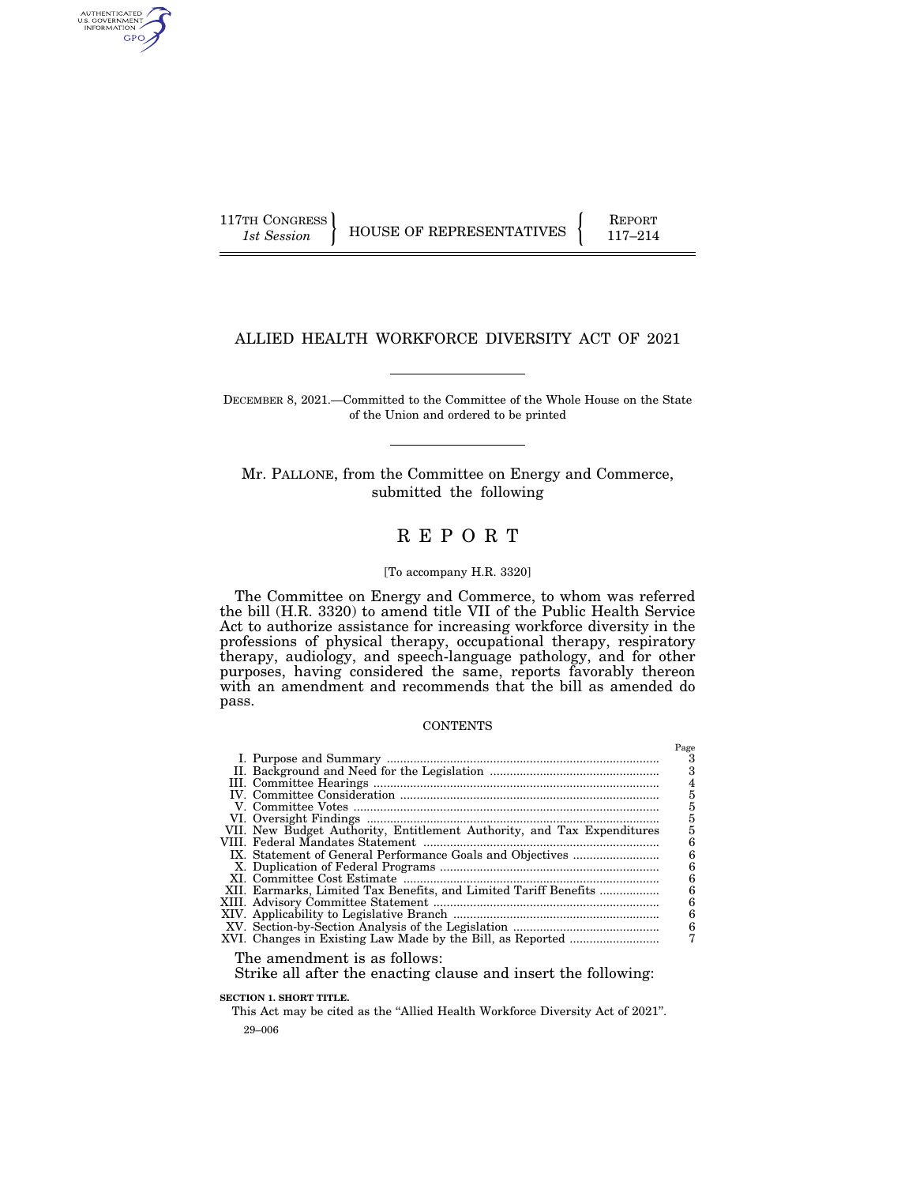AUTHENTICATED<br>U.S. GOVERNMENT<br>INFORMATION GPO

117TH CONGRESS HOUSE OF REPRESENTATIVES FEPORT 117-214

## ALLIED HEALTH WORKFORCE DIVERSITY ACT OF 2021

DECEMBER 8, 2021.—Committed to the Committee of the Whole House on the State of the Union and ordered to be printed

Mr. PALLONE, from the Committee on Energy and Commerce, submitted the following

# R E P O R T

#### [To accompany H.R. 3320]

The Committee on Energy and Commerce, to whom was referred the bill (H.R. 3320) to amend title VII of the Public Health Service Act to authorize assistance for increasing workforce diversity in the professions of physical therapy, occupational therapy, respiratory therapy, audiology, and speech-language pathology, and for other purposes, having considered the same, reports favorably thereon with an amendment and recommends that the bill as amended do pass.

#### CONTENTS

|                                                                        | Page |
|------------------------------------------------------------------------|------|
|                                                                        |      |
|                                                                        |      |
|                                                                        | 4    |
|                                                                        | 5    |
|                                                                        |      |
|                                                                        |      |
| VII. New Budget Authority, Entitlement Authority, and Tax Expenditures |      |
|                                                                        |      |
|                                                                        | 6    |
|                                                                        | 6    |
|                                                                        |      |
|                                                                        | հ    |
|                                                                        | 6    |
|                                                                        | 6    |
|                                                                        | 6    |
|                                                                        |      |
|                                                                        |      |

The amendment is as follows:

Strike all after the enacting clause and insert the following:

**SECTION 1. SHORT TITLE.** 

29–006 This Act may be cited as the ''Allied Health Workforce Diversity Act of 2021''.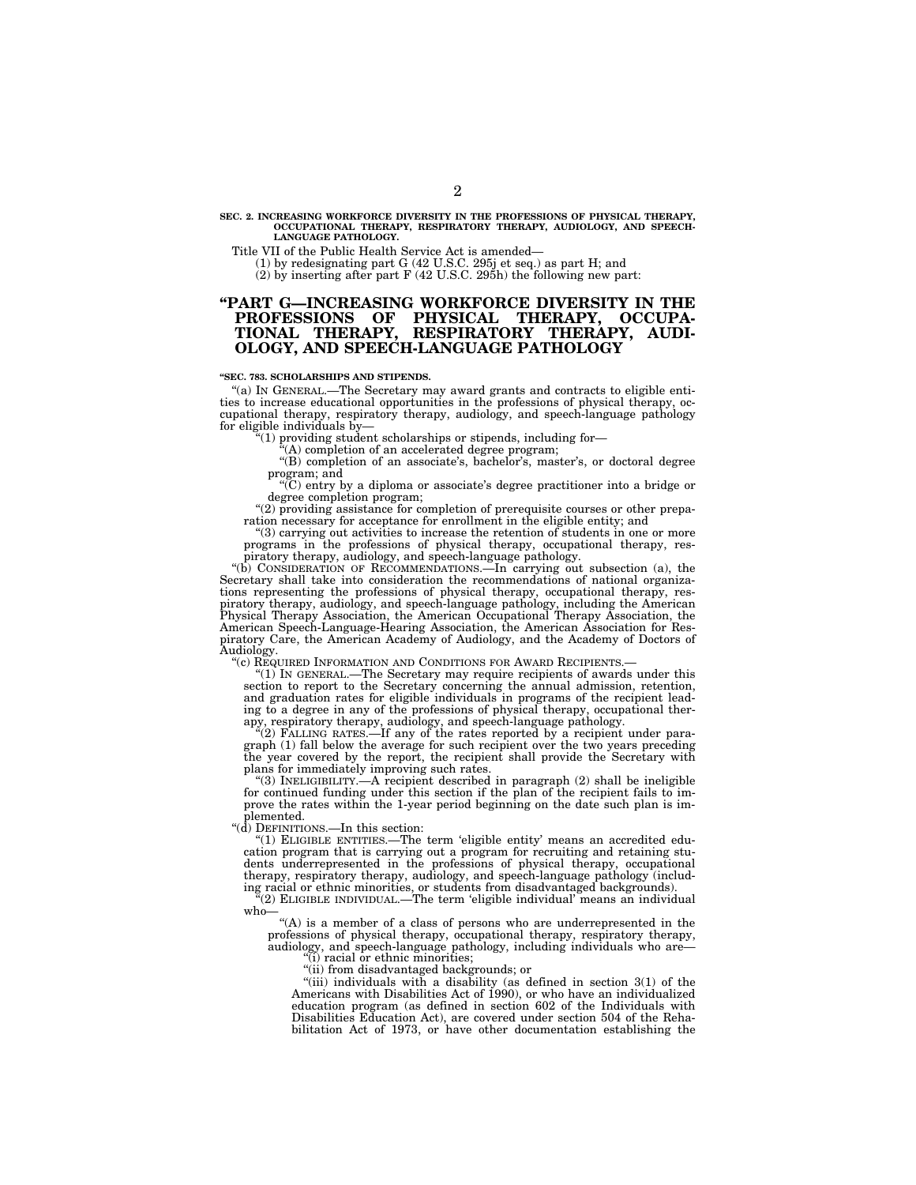## **SEC. 2. INCREASING WORKFORCE DIVERSITY IN THE PROFESSIONS OF PHYSICAL THERAPY, OCCUPATIONAL THERAPY, RESPIRATORY THERAPY, AUDIOLOGY, AND SPEECH-LANGUAGE PATHOLOGY.**

Title VII of the Public Health Service Act is amended—<br>
(1) by redesignating part G (42 U.S.C. 295j et seq.) as part H; and<br>
(2) by inserting after part F (42 U.S.C. 295h) the following new part:

## **''PART G—INCREASING WORKFORCE DIVERSITY IN THE PROFESSIONS OF PHYSICAL THERAPY, OCCUPA-TIONAL THERAPY, RESPIRATORY THERAPY, AUDI-OLOGY, AND SPEECH-LANGUAGE PATHOLOGY**

#### **''SEC. 783. SCHOLARSHIPS AND STIPENDS.**

''(a) IN GENERAL.—The Secretary may award grants and contracts to eligible entities to increase educational opportunities in the professions of physical therapy, occupational therapy, respiratory therapy, audiology, and speech-language pathology for eligible individuals by—

 $i(1)$  providing student scholarships or stipends, including for-

 $(A)$  completion of an accelerated degree program;

''(B) completion of an associate's, bachelor's, master's, or doctoral degree program; and

''(C) entry by a diploma or associate's degree practitioner into a bridge or degree completion program;

"(2) providing assistance for completion of prerequisite courses or other preparation necessary for acceptance for enrollment in the eligible entity; and

"(3) carrying out activities to increase the retention of students in one or more programs in the professions of physical therapy, occupational therapy, respiratory therapy, audiology, and speech-language pathology.

''(b) CONSIDERATION OF RECOMMENDATIONS.—In carrying out subsection (a), the Secretary shall take into consideration the recommendations of national organizations representing the professions of physical therapy, occupational therapy, res-<br>piratory therapy, audiology, and speech-language pathology, including the American<br>Physical Therapy Association, the American Occupational American Speech-Language-Hearing Association, the American Association for Respiratory Care, the American Academy of Audiology, and the Academy of Doctors of Audiology.<br>"(c) REQUIRED INFORMATION AND CONDITIONS FOR AWARD RECIPIENTS.

" $(1)$  In GENERAL.—The Secretary may require recipients of awards under this section to report to the Secretary concerning the annual admission, retention, and graduation rates for eligible individuals in programs of the recipient leading to a degree in any of the professions of physical therapy, occupational ther-

apy, respiratory therapy, audiology, and speech-language pathology. ''(2) FALLING RATES.—If any of the rates reported by a recipient under paragraph (1) fall below the average for such recipient over the two years preceding the year covered by the report, the recipient shall provide the Secretary with plans for immediately improving such rates.

 $(3)$  INELIGIBILITY.—A recipient described in paragraph  $(2)$  shall be ineligible for continued funding under this section if the plan of the recipient fails to improve the rates within the 1-year period beginning on the date such plan is implemented.

''(d) DEFINITIONS.—In this section:

''(1) ELIGIBLE ENTITIES.—The term 'eligible entity' means an accredited education program that is carrying out a program for recruiting and retaining students underrepresented in the professions of physical therapy, occupational therapy, respiratory therapy, audiology, and speech-language pathology (includ-

ing racial or ethnic minorities, or students from disadvantaged backgrounds). ''(2) ELIGIBLE INDIVIDUAL.—The term 'eligible individual' means an individual who—

''(A) is a member of a class of persons who are underrepresented in the professions of physical therapy, occupational therapy, respiratory therapy, audiology, and speech-language pathology, including individuals who are— (i) racial or ethnic minorities;

''(ii) from disadvantaged backgrounds; or

 $(iii)$  individuals with a disability (as defined in section  $3(1)$  of the Americans with Disabilities Act of 1990), or who have an individualized education program (as defined in section 602 of the Individuals with Disabilities Education Act), are covered under section 504 of the Rehabilitation Act of 1973, or have other documentation establishing the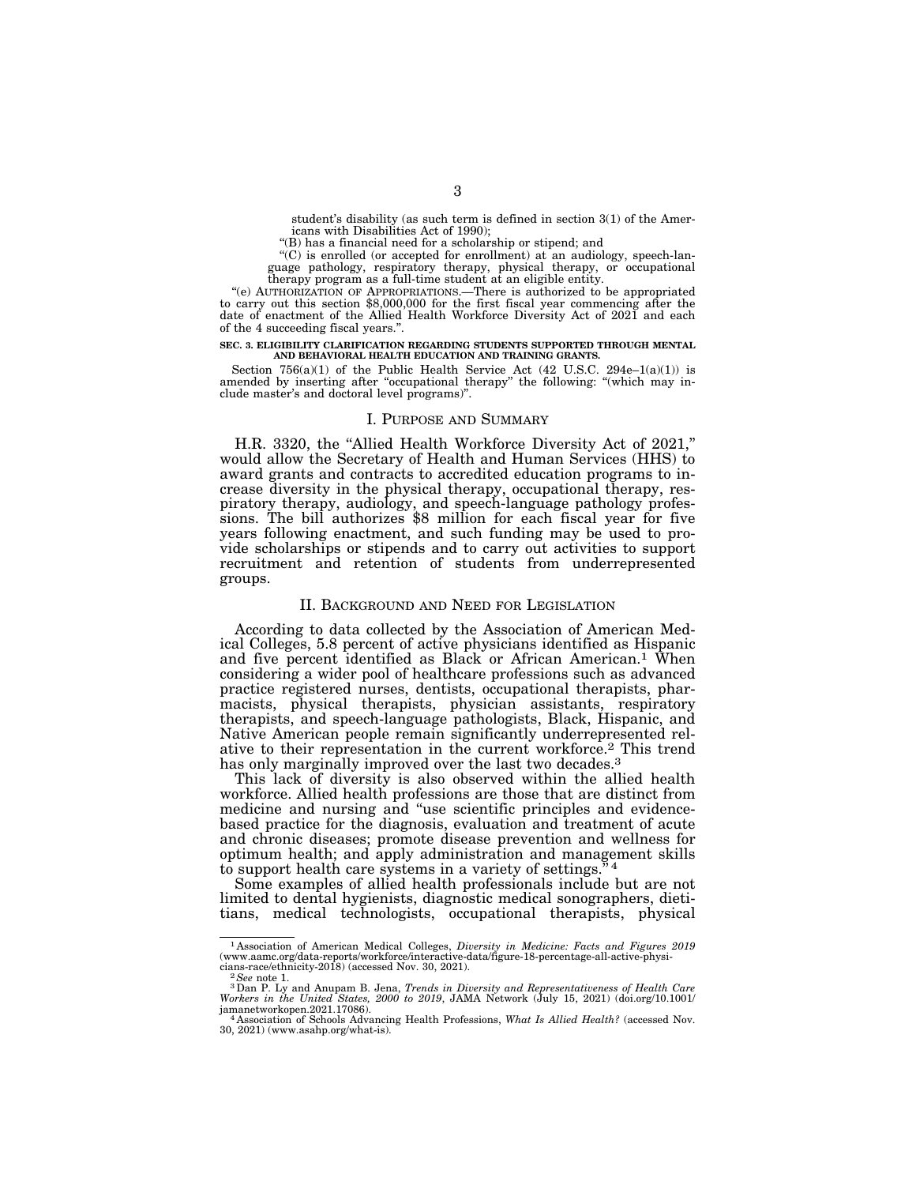student's disability (as such term is defined in section 3(1) of the Americans with Disabilities Act of 1990);

''(B) has a financial need for a scholarship or stipend; and

 $(C)$  is enrolled (or accepted for enrollment) at an audiology, speech-language pathology, respiratory therapy, physical therapy, or occupational therapy program as a full-time student at an eligible entity.

''(e) AUTHORIZATION OF APPROPRIATIONS.—There is authorized to be appropriated to carry out this section \$8,000,000 for the first fiscal year commencing after the date of enactment of the Allied Health Workforce Diversity Act of 2021 and each of the 4 succeeding fiscal years.''.

# **SEC. 3. ELIGIBILITY CLARIFICATION REGARDING STUDENTS SUPPORTED THROUGH MENTAL AND BEHAVIORAL HEALTH EDUCATION AND TRAINING GRANTS.**

Section  $756(a)(1)$  of the Public Health Service Act  $(42 \text{ U.S.C. } 294e-1(a)(1))$  is amended by inserting after "occupational therapy" the following: "(which may include master's and doctoral level programs)''.

### I. PURPOSE AND SUMMARY

H.R. 3320, the "Allied Health Workforce Diversity Act of 2021," would allow the Secretary of Health and Human Services (HHS) to award grants and contracts to accredited education programs to increase diversity in the physical therapy, occupational therapy, respiratory therapy, audiology, and speech-language pathology professions. The bill authorizes \$8 million for each fiscal year for five years following enactment, and such funding may be used to provide scholarships or stipends and to carry out activities to support recruitment and retention of students from underrepresented groups.

### II. BACKGROUND AND NEED FOR LEGISLATION

According to data collected by the Association of American Medical Colleges, 5.8 percent of active physicians identified as Hispanic and five percent identified as Black or African American.1 When considering a wider pool of healthcare professions such as advanced practice registered nurses, dentists, occupational therapists, pharmacists, physical therapists, physician assistants, respiratory therapists, and speech-language pathologists, Black, Hispanic, and Native American people remain significantly underrepresented relative to their representation in the current workforce.2 This trend has only marginally improved over the last two decades.<sup>3</sup>

This lack of diversity is also observed within the allied health workforce. Allied health professions are those that are distinct from medicine and nursing and ''use scientific principles and evidencebased practice for the diagnosis, evaluation and treatment of acute and chronic diseases; promote disease prevention and wellness for optimum health; and apply administration and management skills to support health care systems in a variety of settings.<sup>"4</sup>

Some examples of allied health professionals include but are not limited to dental hygienists, diagnostic medical sonographers, dietitians, medical technologists, occupational therapists, physical

<sup>1</sup> Association of American Medical Colleges, *Diversity in Medicine: Facts and Figures 2019*  (www.aamc.org/data-reports/workforce/interactive-data/figure-18-percentage-all-active-physi-

cians-race/ethnicity-2018) (accessed Nov. 30, 2021).<br><sup>- 2</sup> See note 1.<br>- 3 Dan P. Ly and Anupam B. Jena, *Trends in Diversity and Representativeness of Health Care*<br>Wor*kers in the United States, 2000 to 2019, J*AMA Networ jamanetworkopen.2021.17086). 4 Association of Schools Advancing Health Professions, *What Is Allied Health?* (accessed Nov.

<sup>30, 2021) (</sup>www.asahp.org/what-is).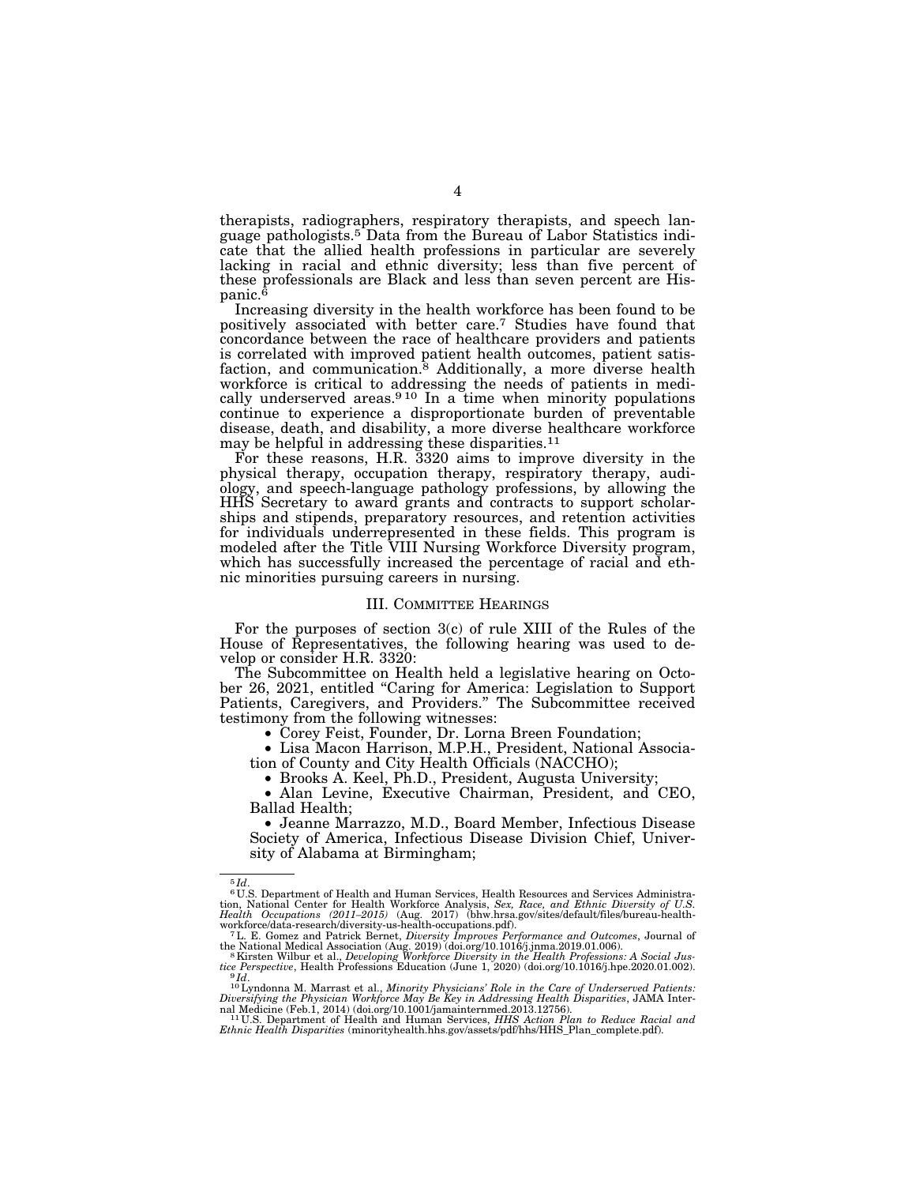therapists, radiographers, respiratory therapists, and speech language pathologists.5 Data from the Bureau of Labor Statistics indicate that the allied health professions in particular are severely lacking in racial and ethnic diversity; less than five percent of these professionals are Black and less than seven percent are Hispanic.6

Increasing diversity in the health workforce has been found to be positively associated with better care.7 Studies have found that concordance between the race of healthcare providers and patients is correlated with improved patient health outcomes, patient satisfaction, and communication.<sup>8</sup> Additionally, a more diverse health workforce is critical to addressing the needs of patients in medically underserved areas.<sup>910</sup> In a time when minority populations continue to experience a disproportionate burden of preventable disease, death, and disability, a more diverse healthcare workforce may be helpful in addressing these disparities.<sup>11</sup>

For these reasons, H.R. 3320 aims to improve diversity in the physical therapy, occupation therapy, respiratory therapy, audiology, and speech-language pathology professions, by allowing the HHS Secretary to award grants and contracts to support scholarships and stipends, preparatory resources, and retention activities for individuals underrepresented in these fields. This program is modeled after the Title VIII Nursing Workforce Diversity program, which has successfully increased the percentage of racial and ethnic minorities pursuing careers in nursing.

#### III. COMMITTEE HEARINGS

For the purposes of section 3(c) of rule XIII of the Rules of the House of Representatives, the following hearing was used to develop or consider H.R. 3320:

The Subcommittee on Health held a legislative hearing on October 26, 2021, entitled ''Caring for America: Legislation to Support Patients, Caregivers, and Providers.'' The Subcommittee received testimony from the following witnesses:

• Corey Feist, Founder, Dr. Lorna Breen Foundation;

• Lisa Macon Harrison, M.P.H., President, National Association of County and City Health Officials (NACCHO);

• Brooks A. Keel, Ph.D., President, Augusta University;

• Alan Levine, Executive Chairman, President, and CEO, Ballad Health;

• Jeanne Marrazzo, M.D., Board Member, Infectious Disease Society of America, Infectious Disease Division Chief, University of Alabama at Birmingham;

<sup>5</sup> *Id*. 6 U.S. Department of Health and Human Services, Health Resources and Services Administra-tion, National Center for Health Workforce Analysis, *Sex, Race, and Ethnic Diversity of U.S.*  Health Occupations (2011–2015) (Aug. 2017) (bhw.hrsa.gov/sites/default/files/bureau-health-<br>workforce/data-research/diversity-us-health-occupations.pdf).<br><sup>7</sup> L. E. Gomez and Patrick Bernet, *Diversity Improves Performance* 

the National Medical Association (Aug. 2019) (doi.org/10.1016/j.jnma.2019.01.006).<br><sup>8</sup>Kirsten Wilbur et al., *Developing Workforce Diversity in the Health Professions: A Social Justice Perspective, Health Professions Educa* tice Perspective, Health Professions Education (June 1, 2020) (doi.org/10.1016/j.hpe.2020.01.002).<br>Pld.<br><sup>10</sup>Lyndonna M. Marrast et al., *Minority Physicians' Role in the Care of Underserved Patients:*<br>Diversifying the Phys

nal Medicine (Feb.1, 2014) (doi.org/10.1001/jamainternmed.2013.12756).<br><sup>11</sup>U.S. Department of Health and Human Services, *HHS Action Plan to Reduce Racial and*<br>*Ethnic Health Disparities* (minorityhealth.hhs.gov/assets/pdf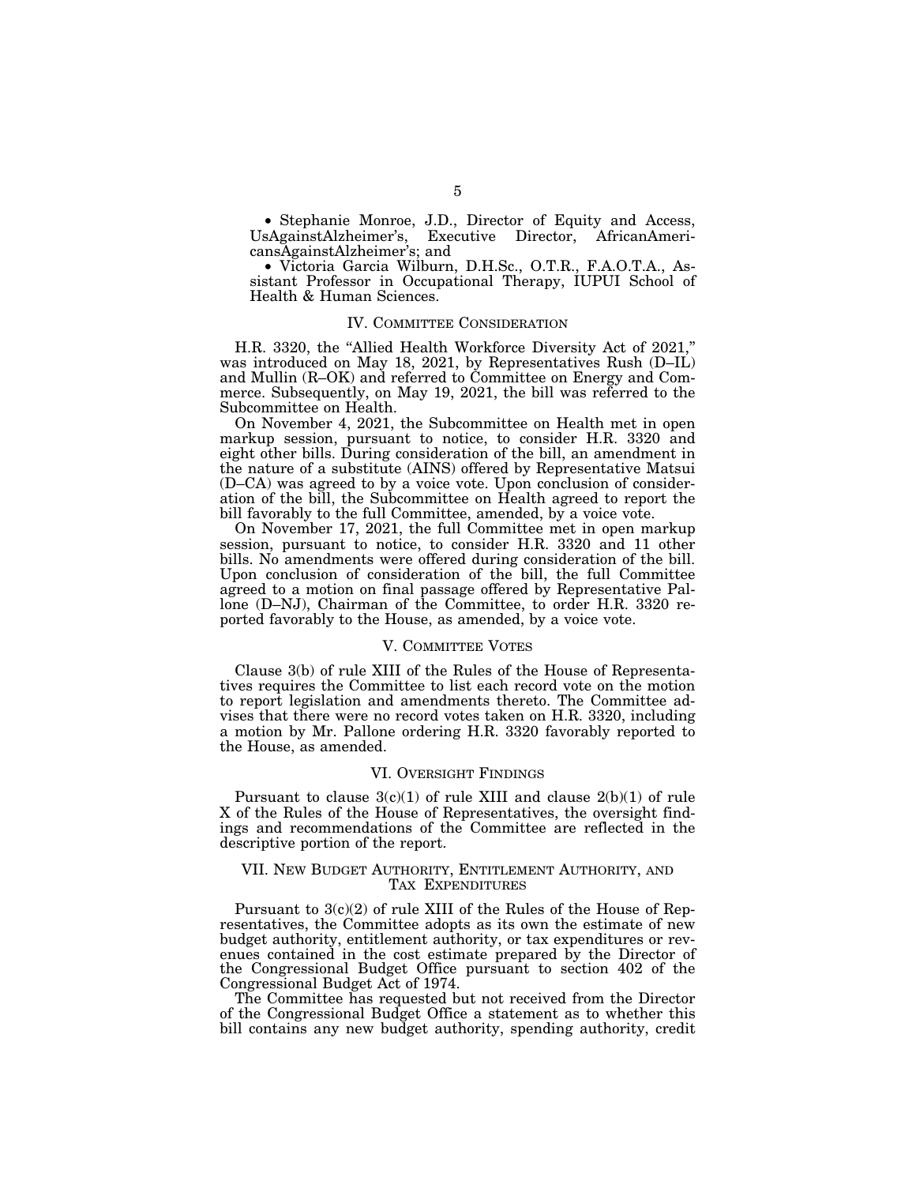• Stephanie Monroe, J.D., Director of Equity and Access, UsAgainstAlzheimer's, Executive Director, AfricanAmericansAgainstAlzheimer's; and

• Victoria Garcia Wilburn, D.H.Sc., O.T.R., F.A.O.T.A., Assistant Professor in Occupational Therapy, IUPUI School of Health & Human Sciences.

#### IV. COMMITTEE CONSIDERATION

H.R. 3320, the ''Allied Health Workforce Diversity Act of 2021,'' was introduced on May 18, 2021, by Representatives Rush (D–IL) and Mullin (R–OK) and referred to Committee on Energy and Commerce. Subsequently, on May 19, 2021, the bill was referred to the Subcommittee on Health.

On November 4, 2021, the Subcommittee on Health met in open markup session, pursuant to notice, to consider H.R. 3320 and eight other bills. During consideration of the bill, an amendment in the nature of a substitute (AINS) offered by Representative Matsui (D–CA) was agreed to by a voice vote. Upon conclusion of consideration of the bill, the Subcommittee on Health agreed to report the bill favorably to the full Committee, amended, by a voice vote.

On November 17, 2021, the full Committee met in open markup session, pursuant to notice, to consider H.R. 3320 and 11 other bills. No amendments were offered during consideration of the bill. Upon conclusion of consideration of the bill, the full Committee agreed to a motion on final passage offered by Representative Pallone (D–NJ), Chairman of the Committee, to order H.R. 3320 reported favorably to the House, as amended, by a voice vote.

### V. COMMITTEE VOTES

Clause 3(b) of rule XIII of the Rules of the House of Representatives requires the Committee to list each record vote on the motion to report legislation and amendments thereto. The Committee advises that there were no record votes taken on H.R. 3320, including a motion by Mr. Pallone ordering H.R. 3320 favorably reported to the House, as amended.

#### VI. OVERSIGHT FINDINGS

Pursuant to clause  $3(c)(1)$  of rule XIII and clause  $2(b)(1)$  of rule X of the Rules of the House of Representatives, the oversight findings and recommendations of the Committee are reflected in the descriptive portion of the report.

#### VII. NEW BUDGET AUTHORITY, ENTITLEMENT AUTHORITY, AND TAX EXPENDITURES

Pursuant to 3(c)(2) of rule XIII of the Rules of the House of Representatives, the Committee adopts as its own the estimate of new budget authority, entitlement authority, or tax expenditures or revenues contained in the cost estimate prepared by the Director of the Congressional Budget Office pursuant to section 402 of the Congressional Budget Act of 1974.

The Committee has requested but not received from the Director of the Congressional Budget Office a statement as to whether this bill contains any new budget authority, spending authority, credit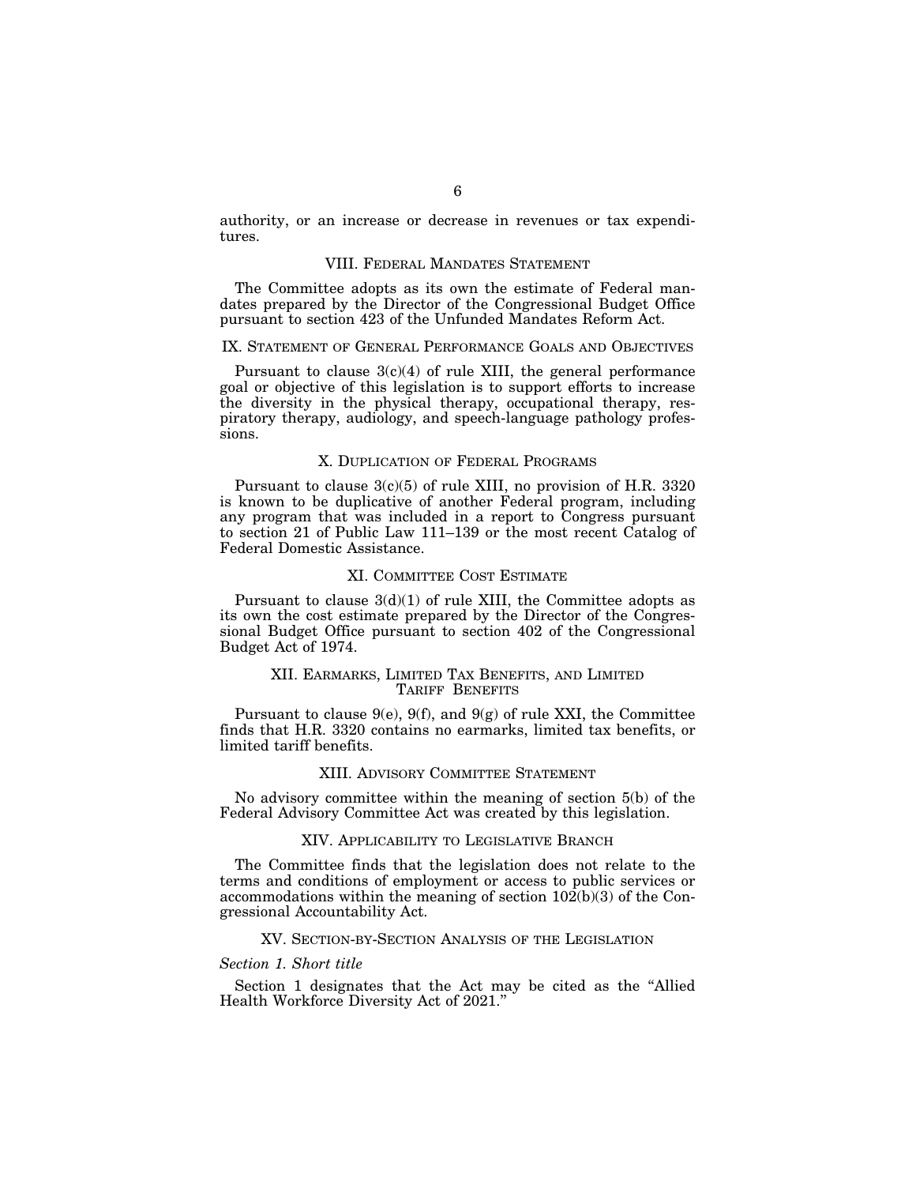authority, or an increase or decrease in revenues or tax expenditures.

#### VIII. FEDERAL MANDATES STATEMENT

The Committee adopts as its own the estimate of Federal mandates prepared by the Director of the Congressional Budget Office pursuant to section 423 of the Unfunded Mandates Reform Act.

### IX. STATEMENT OF GENERAL PERFORMANCE GOALS AND OBJECTIVES

Pursuant to clause  $3(c)(4)$  of rule XIII, the general performance goal or objective of this legislation is to support efforts to increase the diversity in the physical therapy, occupational therapy, respiratory therapy, audiology, and speech-language pathology professions.

#### X. DUPLICATION OF FEDERAL PROGRAMS

Pursuant to clause 3(c)(5) of rule XIII, no provision of H.R. 3320 is known to be duplicative of another Federal program, including any program that was included in a report to Congress pursuant to section 21 of Public Law 111–139 or the most recent Catalog of Federal Domestic Assistance.

#### XI. COMMITTEE COST ESTIMATE

Pursuant to clause  $3(d)(1)$  of rule XIII, the Committee adopts as its own the cost estimate prepared by the Director of the Congressional Budget Office pursuant to section 402 of the Congressional Budget Act of 1974.

#### XII. EARMARKS, LIMITED TAX BENEFITS, AND LIMITED TARIFF BENEFITS

Pursuant to clause  $9(e)$ ,  $9(f)$ , and  $9(g)$  of rule XXI, the Committee finds that H.R. 3320 contains no earmarks, limited tax benefits, or limited tariff benefits.

#### XIII. ADVISORY COMMITTEE STATEMENT

No advisory committee within the meaning of section 5(b) of the Federal Advisory Committee Act was created by this legislation.

#### XIV. APPLICABILITY TO LEGISLATIVE BRANCH

The Committee finds that the legislation does not relate to the terms and conditions of employment or access to public services or accommodations within the meaning of section  $10\overline{2}(b)(3)$  of the Congressional Accountability Act.

## XV. SECTION-BY-SECTION ANALYSIS OF THE LEGISLATION

#### *Section 1. Short title*

Section 1 designates that the Act may be cited as the ''Allied Health Workforce Diversity Act of 2021.''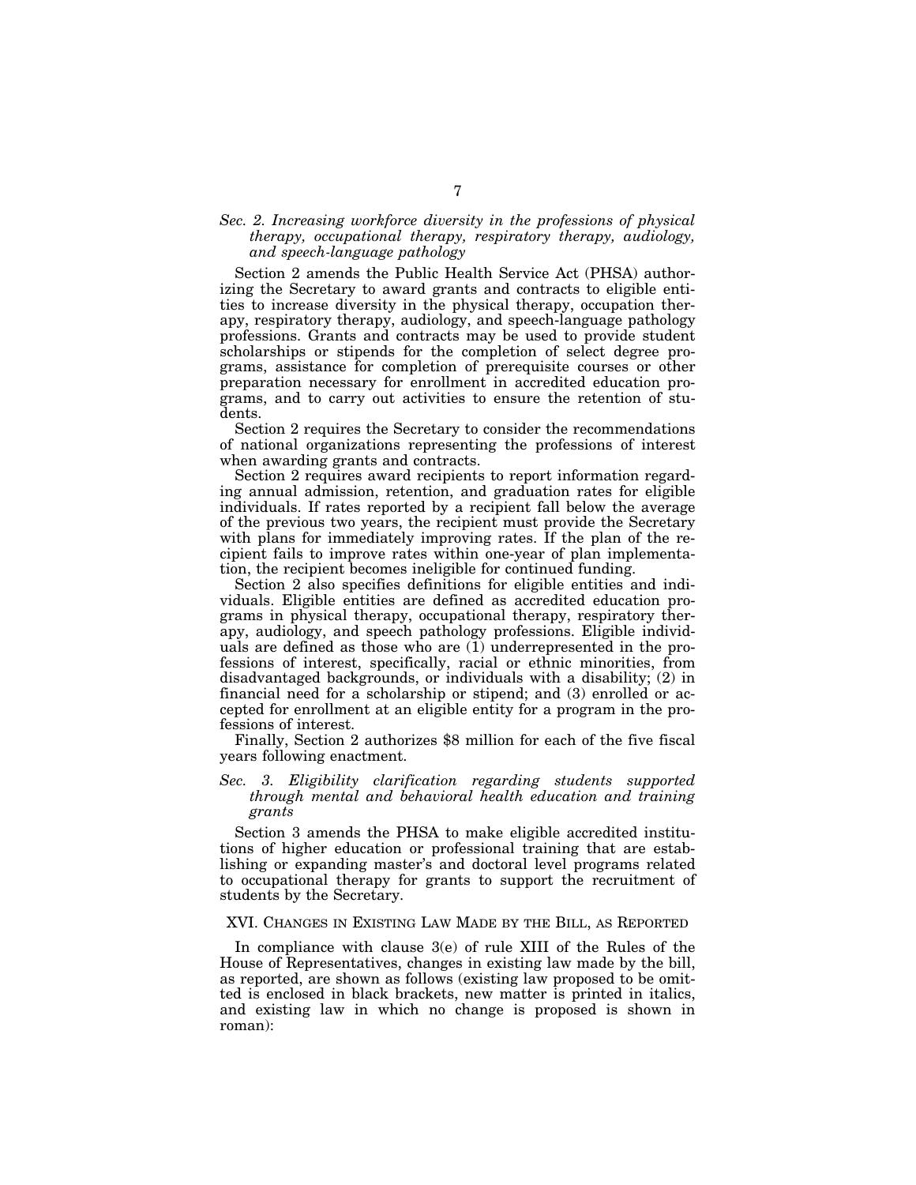## *Sec. 2. Increasing workforce diversity in the professions of physical therapy, occupational therapy, respiratory therapy, audiology, and speech-language pathology*

Section 2 amends the Public Health Service Act (PHSA) authorizing the Secretary to award grants and contracts to eligible entities to increase diversity in the physical therapy, occupation therapy, respiratory therapy, audiology, and speech-language pathology professions. Grants and contracts may be used to provide student scholarships or stipends for the completion of select degree programs, assistance for completion of prerequisite courses or other preparation necessary for enrollment in accredited education programs, and to carry out activities to ensure the retention of students.

Section 2 requires the Secretary to consider the recommendations of national organizations representing the professions of interest when awarding grants and contracts.

Section 2 requires award recipients to report information regarding annual admission, retention, and graduation rates for eligible individuals. If rates reported by a recipient fall below the average of the previous two years, the recipient must provide the Secretary with plans for immediately improving rates. If the plan of the recipient fails to improve rates within one-year of plan implementation, the recipient becomes ineligible for continued funding.

Section 2 also specifies definitions for eligible entities and individuals. Eligible entities are defined as accredited education programs in physical therapy, occupational therapy, respiratory therapy, audiology, and speech pathology professions. Eligible individuals are defined as those who are (1) underrepresented in the professions of interest, specifically, racial or ethnic minorities, from disadvantaged backgrounds, or individuals with a disability; (2) in financial need for a scholarship or stipend; and (3) enrolled or accepted for enrollment at an eligible entity for a program in the professions of interest.

Finally, Section 2 authorizes \$8 million for each of the five fiscal years following enactment.

## *Sec. 3. Eligibility clarification regarding students supported through mental and behavioral health education and training grants*

Section 3 amends the PHSA to make eligible accredited institutions of higher education or professional training that are establishing or expanding master's and doctoral level programs related to occupational therapy for grants to support the recruitment of students by the Secretary.

## XVI. CHANGES IN EXISTING LAW MADE BY THE BILL, AS REPORTED

In compliance with clause 3(e) of rule XIII of the Rules of the House of Representatives, changes in existing law made by the bill, as reported, are shown as follows (existing law proposed to be omitted is enclosed in black brackets, new matter is printed in italics, and existing law in which no change is proposed is shown in roman):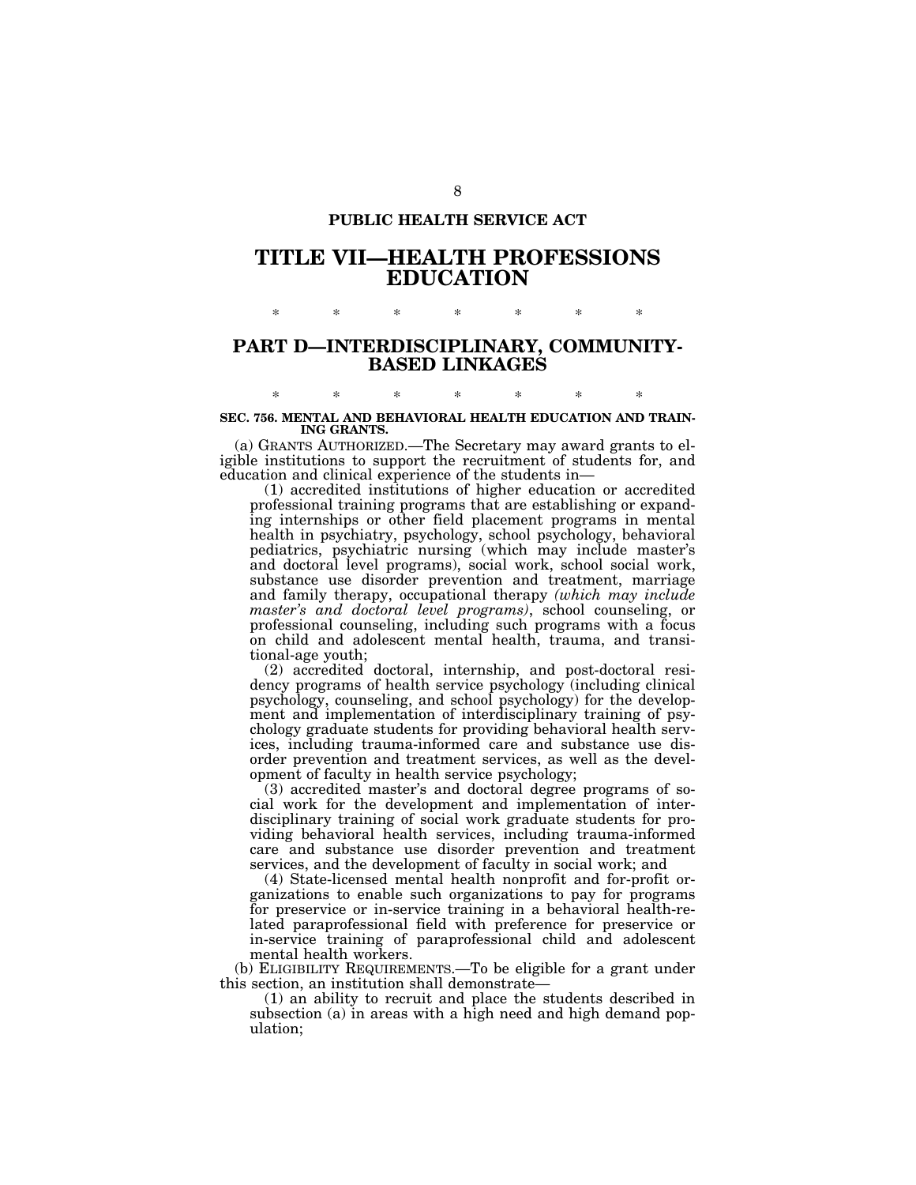## **PUBLIC HEALTH SERVICE ACT**

# **TITLE VII—HEALTH PROFESSIONS EDUCATION**

## **PART D—INTERDISCIPLINARY, COMMUNITY-BASED LINKAGES**

\* \* \* \* \* \* \*

## \* \* \* \* \* \* \* **SEC. 756. MENTAL AND BEHAVIORAL HEALTH EDUCATION AND TRAIN-ING GRANTS.**

(a) GRANTS AUTHORIZED.—The Secretary may award grants to eligible institutions to support the recruitment of students for, and education and clinical experience of the students in—

(1) accredited institutions of higher education or accredited professional training programs that are establishing or expanding internships or other field placement programs in mental health in psychiatry, psychology, school psychology, behavioral pediatrics, psychiatric nursing (which may include master's and doctoral level programs), social work, school social work, substance use disorder prevention and treatment, marriage and family therapy, occupational therapy *(which may include master's and doctoral level programs)*, school counseling, or professional counseling, including such programs with a focus on child and adolescent mental health, trauma, and transitional-age youth;

(2) accredited doctoral, internship, and post-doctoral residency programs of health service psychology (including clinical psychology, counseling, and school psychology) for the development and implementation of interdisciplinary training of psychology graduate students for providing behavioral health services, including trauma-informed care and substance use disorder prevention and treatment services, as well as the development of faculty in health service psychology;

(3) accredited master's and doctoral degree programs of social work for the development and implementation of interdisciplinary training of social work graduate students for providing behavioral health services, including trauma-informed care and substance use disorder prevention and treatment services, and the development of faculty in social work; and

(4) State-licensed mental health nonprofit and for-profit organizations to enable such organizations to pay for programs for preservice or in-service training in a behavioral health-related paraprofessional field with preference for preservice or in-service training of paraprofessional child and adolescent mental health workers.

(b) ELIGIBILITY REQUIREMENTS.—To be eligible for a grant under this section, an institution shall demonstrate—

(1) an ability to recruit and place the students described in subsection (a) in areas with a high need and high demand population;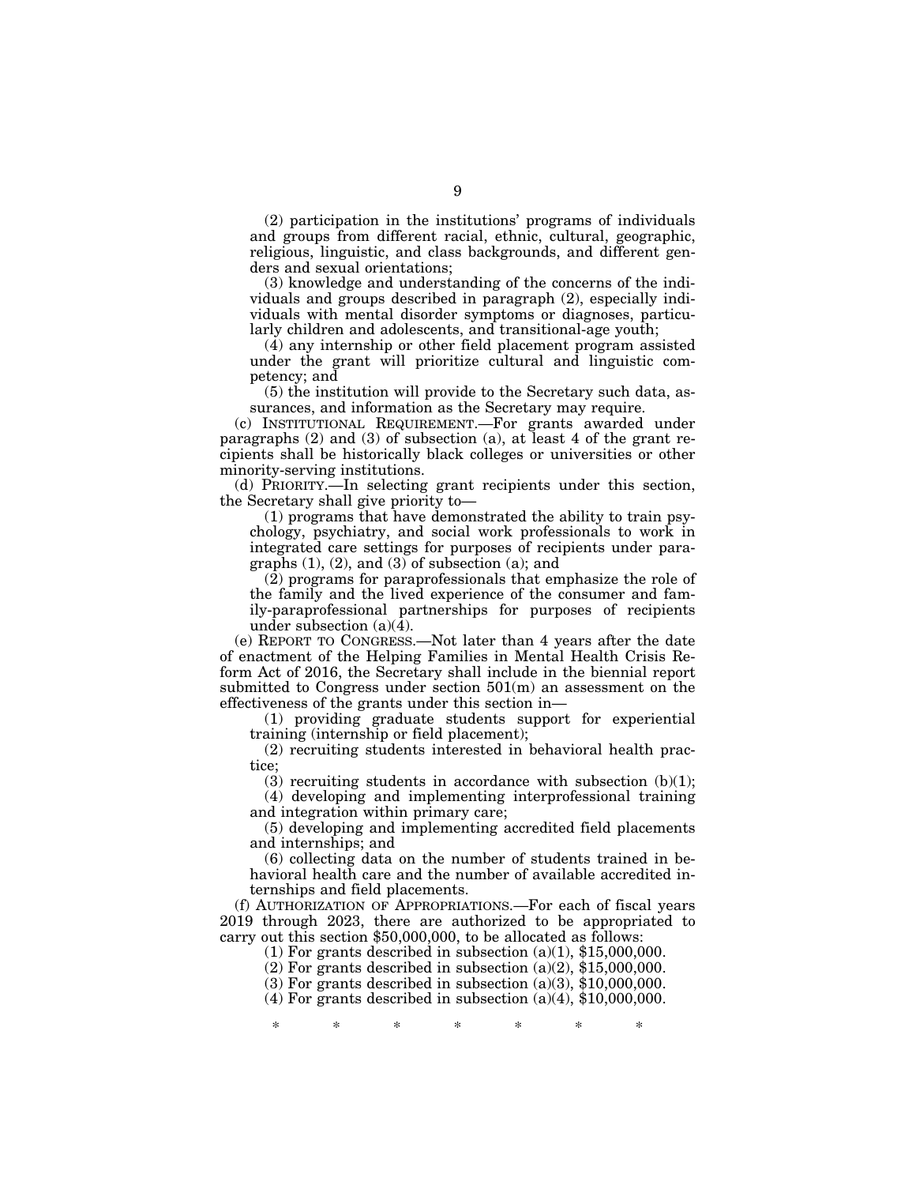(2) participation in the institutions' programs of individuals and groups from different racial, ethnic, cultural, geographic, religious, linguistic, and class backgrounds, and different genders and sexual orientations;

(3) knowledge and understanding of the concerns of the individuals and groups described in paragraph (2), especially individuals with mental disorder symptoms or diagnoses, particularly children and adolescents, and transitional-age youth;

(4) any internship or other field placement program assisted under the grant will prioritize cultural and linguistic competency; and

(5) the institution will provide to the Secretary such data, assurances, and information as the Secretary may require.

(c) INSTITUTIONAL REQUIREMENT.—For grants awarded under paragraphs (2) and (3) of subsection (a), at least 4 of the grant recipients shall be historically black colleges or universities or other minority-serving institutions.

(d) PRIORITY.—In selecting grant recipients under this section, the Secretary shall give priority to—

(1) programs that have demonstrated the ability to train psychology, psychiatry, and social work professionals to work in integrated care settings for purposes of recipients under paragraphs (1), (2), and (3) of subsection (a); and

(2) programs for paraprofessionals that emphasize the role of the family and the lived experience of the consumer and family-paraprofessional partnerships for purposes of recipients under subsection  $(a)(\overline{4})$ .

(e) REPORT TO CONGRESS.—Not later than 4 years after the date of enactment of the Helping Families in Mental Health Crisis Reform Act of 2016, the Secretary shall include in the biennial report submitted to Congress under section 501(m) an assessment on the effectiveness of the grants under this section in—

(1) providing graduate students support for experiential training (internship or field placement);

(2) recruiting students interested in behavioral health practice;

 $(3)$  recruiting students in accordance with subsection  $(b)(1)$ ; (4) developing and implementing interprofessional training and integration within primary care;

(5) developing and implementing accredited field placements and internships; and

(6) collecting data on the number of students trained in behavioral health care and the number of available accredited internships and field placements.

(f) AUTHORIZATION OF APPROPRIATIONS.—For each of fiscal years 2019 through 2023, there are authorized to be appropriated to carry out this section \$50,000,000, to be allocated as follows:

(1) For grants described in subsection  $(a)(1)$ , \$15,000,000.

(2) For grants described in subsection  $(a)(2)$ , \$15,000,000.

 $(3)$  For grants described in subsection  $(a)(3)$ , \$10,000,000.

(4) For grants described in subsection  $(a)(4)$ , \$10,000,000.

\* \* \* \* \* \* \*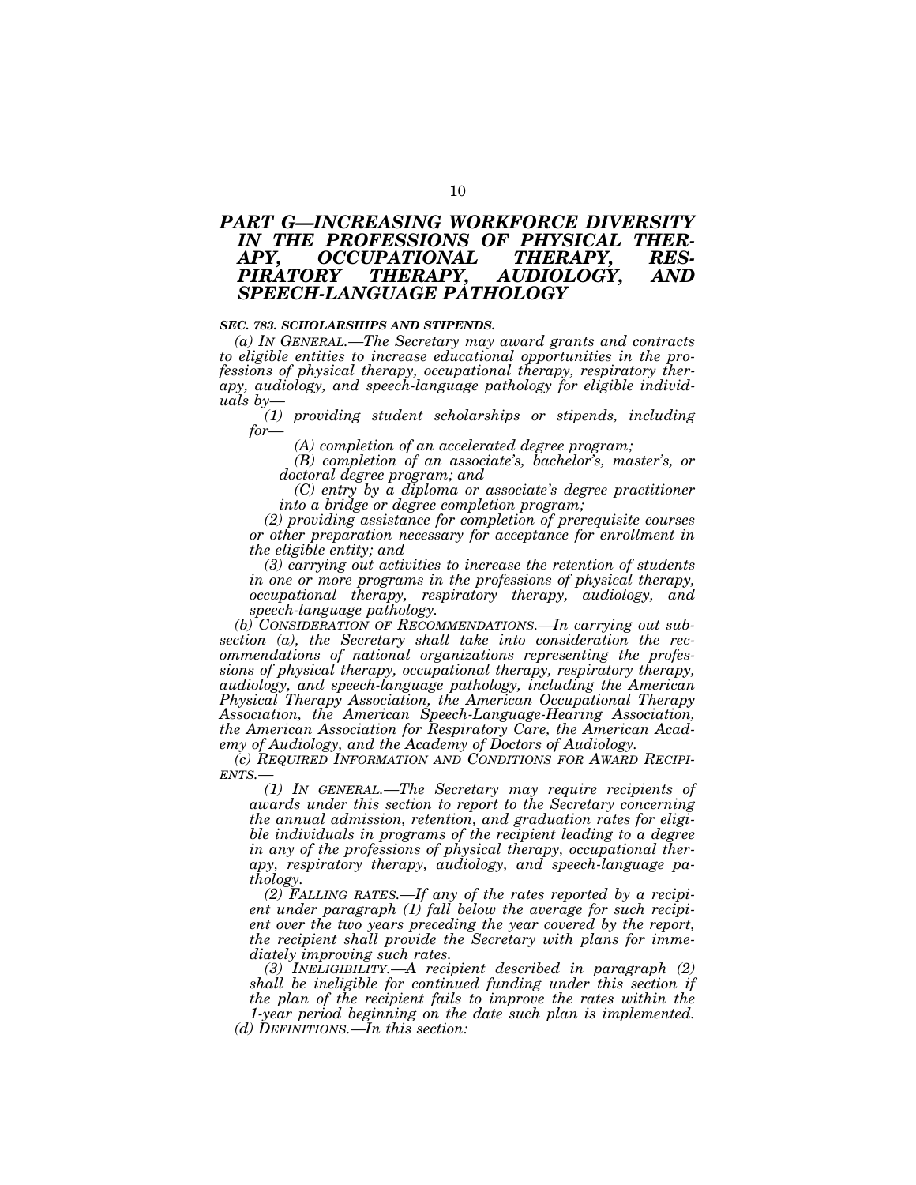# *PART G—INCREASING WORKFORCE DIVERSITY IN THE PROFESSIONS OF PHYSICAL THER-*APY, OCCUPATIONAL<br>PIRATORY THERAPY, *PIRATORY THERAPY, AUDIOLOGY, AND SPEECH-LANGUAGE PATHOLOGY*

### *SEC. 783. SCHOLARSHIPS AND STIPENDS.*

*(a) IN GENERAL.—The Secretary may award grants and contracts to eligible entities to increase educational opportunities in the professions of physical therapy, occupational therapy, respiratory therapy, audiology, and speech-language pathology for eligible individuals by—* 

*(1) providing student scholarships or stipends, including for—* 

*(A) completion of an accelerated degree program;* 

*(B) completion of an associate's, bachelor's, master's, or doctoral degree program; and* 

*(C) entry by a diploma or associate's degree practitioner into a bridge or degree completion program;* 

*(2) providing assistance for completion of prerequisite courses or other preparation necessary for acceptance for enrollment in the eligible entity; and* 

*(3) carrying out activities to increase the retention of students in one or more programs in the professions of physical therapy, occupational therapy, respiratory therapy, audiology, and speech-language pathology.* 

*(b) CONSIDERATION OF RECOMMENDATIONS.—In carrying out subsection (a), the Secretary shall take into consideration the recommendations of national organizations representing the professions of physical therapy, occupational therapy, respiratory therapy, audiology, and speech-language pathology, including the American Physical Therapy Association, the American Occupational Therapy Association, the American Speech-Language-Hearing Association, the American Association for Respiratory Care, the American Academy of Audiology, and the Academy of Doctors of Audiology.* 

*(c) REQUIRED INFORMATION AND CONDITIONS FOR AWARD RECIPI-ENTS.—* 

*(1) IN GENERAL.—The Secretary may require recipients of awards under this section to report to the Secretary concerning the annual admission, retention, and graduation rates for eligible individuals in programs of the recipient leading to a degree in any of the professions of physical therapy, occupational therapy, respiratory therapy, audiology, and speech-language pathology.* 

*(2) FALLING RATES.—If any of the rates reported by a recipient under paragraph (1) fall below the average for such recipient over the two years preceding the year covered by the report, the recipient shall provide the Secretary with plans for immediately improving such rates.* 

*(3) INELIGIBILITY.—A recipient described in paragraph (2) shall be ineligible for continued funding under this section if the plan of the recipient fails to improve the rates within the 1-year period beginning on the date such plan is implemented.* 

*(d) DEFINITIONS.—In this section:*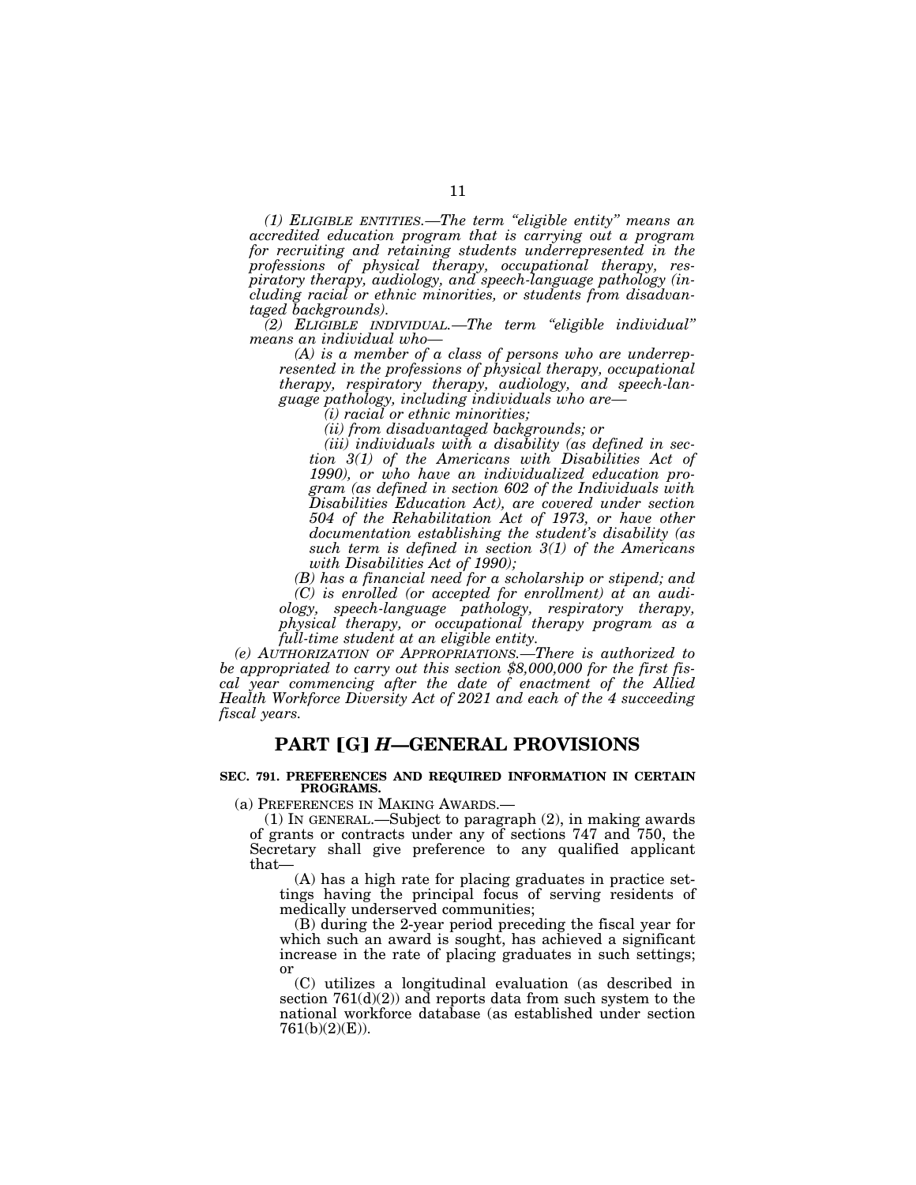*(1) ELIGIBLE ENTITIES.—The term ''eligible entity'' means an accredited education program that is carrying out a program for recruiting and retaining students underrepresented in the professions of physical therapy, occupational therapy, respiratory therapy, audiology, and speech-language pathology (including racial or ethnic minorities, or students from disadvantaged backgrounds).* 

*(2) ELIGIBLE INDIVIDUAL.—The term ''eligible individual'' means an individual who—* 

*(A) is a member of a class of persons who are underrepresented in the professions of physical therapy, occupational therapy, respiratory therapy, audiology, and speech-language pathology, including individuals who are—* 

*(i) racial or ethnic minorities;* 

*(ii) from disadvantaged backgrounds; or* 

*(iii) individuals with a disability (as defined in section 3(1) of the Americans with Disabilities Act of 1990), or who have an individualized education program (as defined in section 602 of the Individuals with Disabilities Education Act), are covered under section 504 of the Rehabilitation Act of 1973, or have other documentation establishing the student's disability (as such term is defined in section 3(1) of the Americans with Disabilities Act of 1990);* 

*(B) has a financial need for a scholarship or stipend; and (C) is enrolled (or accepted for enrollment) at an audi-*

*ology, speech-language pathology, respiratory therapy, physical therapy, or occupational therapy program as a full-time student at an eligible entity.* 

*(e) AUTHORIZATION OF APPROPRIATIONS.—There is authorized to be appropriated to carry out this section \$8,000,000 for the first fiscal year commencing after the date of enactment of the Allied Health Workforce Diversity Act of 2021 and each of the 4 succeeding fiscal years.* 

## **PART [G]** *H***—GENERAL PROVISIONS**

#### **SEC. 791. PREFERENCES AND REQUIRED INFORMATION IN CERTAIN PROGRAMS.**

(a) PREFERENCES IN MAKING AWARDS.—

(1) IN GENERAL.—Subject to paragraph (2), in making awards of grants or contracts under any of sections 747 and 750, the Secretary shall give preference to any qualified applicant that—

(A) has a high rate for placing graduates in practice settings having the principal focus of serving residents of medically underserved communities;

(B) during the 2-year period preceding the fiscal year for which such an award is sought, has achieved a significant increase in the rate of placing graduates in such settings; or

(C) utilizes a longitudinal evaluation (as described in section  $761(d)(2)$  and reports data from such system to the national workforce database (as established under section 761(b)(2)(E)).